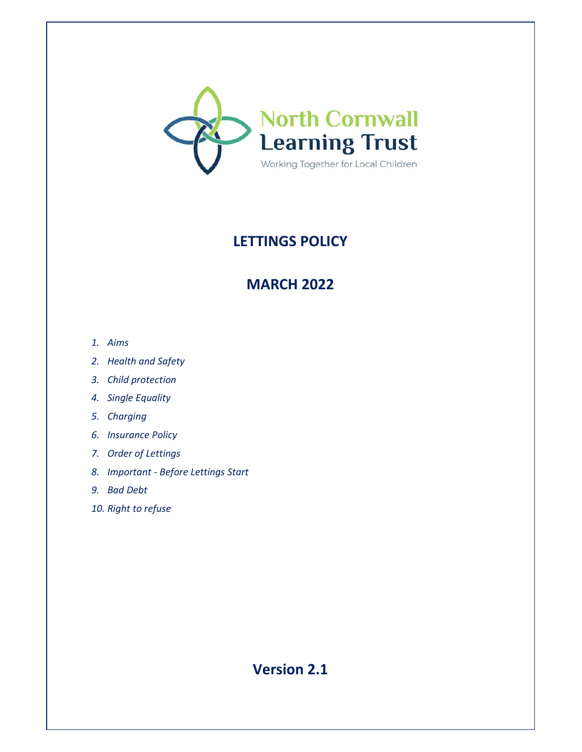

# **LETTINGS POLICY**

# **MARCH 2022**

- *1. Aims*
- *2. Health and Safety*
- *3. Child protection*
- *4. Single Equality*
- *5. Charging*
- *6. Insurance Policy*
- *7. Order of Lettings*
- *8. Important Before Lettings Start*
- *9. Bad Debt*
- *10. Right to refuse*

**Version 2.1**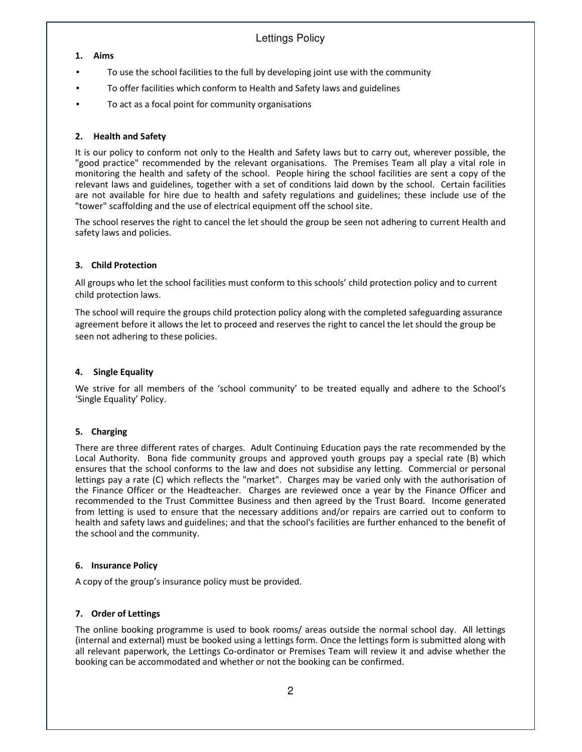## Lettings Policy

#### **1. Aims**

- To use the school facilities to the full by developing joint use with the community
- To offer facilities which conform to Health and Safety laws and guidelines
- To act as a focal point for community organisations

#### **2. Health and Safety**

It is our policy to conform not only to the Health and Safety laws but to carry out, wherever possible, the "good practice" recommended by the relevant organisations. The Premises Team all play a vital role in monitoring the health and safety of the school. People hiring the school facilities are sent a copy of the relevant laws and guidelines, together with a set of conditions laid down by the school. Certain facilities are not available for hire due to health and safety regulations and guidelines; these include use of the "tower" scaffolding and the use of electrical equipment off the school site.

The school reserves the right to cancel the let should the group be seen not adhering to current Health and safety laws and policies.

#### **3. Child Protection**

All groups who let the school facilities must conform to this schools' child protection policy and to current child protection laws.

The school will require the groups child protection policy along with the completed safeguarding assurance agreement before it allows the let to proceed and reserves the right to cancel the let should the group be seen not adhering to these policies.

#### **4. Single Equality**

We strive for all members of the 'school community' to be treated equally and adhere to the School's 'Single Equality' Policy.

#### **5. Charging**

There are three different rates of charges. Adult Continuing Education pays the rate recommended by the Local Authority. Bona fide community groups and approved youth groups pay a special rate (B) which ensures that the school conforms to the law and does not subsidise any letting. Commercial or personal lettings pay a rate (C) which reflects the "market". Charges may be varied only with the authorisation of the Finance Officer or the Headteacher. Charges are reviewed once a year by the Finance Officer and recommended to the Trust Committee Business and then agreed by the Trust Board. Income generated from letting is used to ensure that the necessary additions and/or repairs are carried out to conform to health and safety laws and guidelines; and that the school's facilities are further enhanced to the benefit of the school and the community.

#### **6. Insurance Policy**

A copy of the group's insurance policy must be provided.

#### **7. Order of Lettings**

The online booking programme is used to book rooms/ areas outside the normal school day. All lettings (internal and external) must be booked using a lettings form. Once the lettings form is submitted along with all relevant paperwork, the Lettings Co-ordinator or Premises Team will review it and advise whether the booking can be accommodated and whether or not the booking can be confirmed.